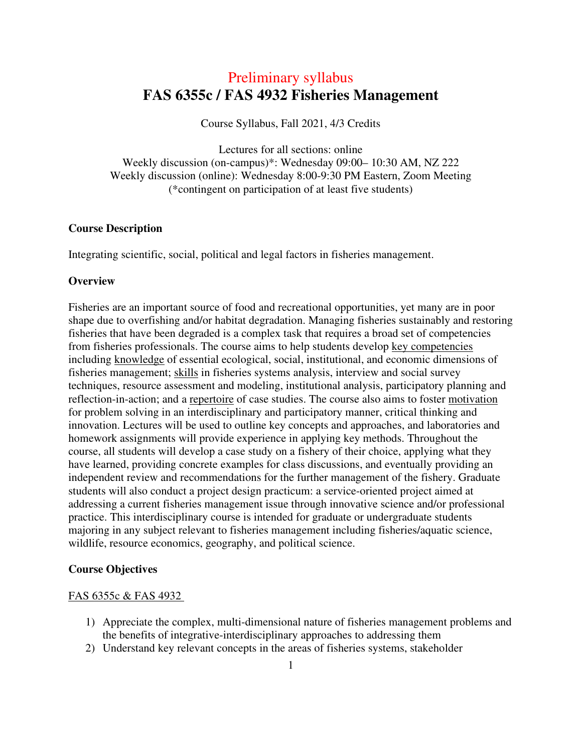## Preliminary syllabus  **FAS 6355c / FAS 4932 Fisheries Management**

Course Syllabus, Fall 2021, 4/3 Credits

Lectures for all sections: online Weekly discussion (on-campus)\*: Wednesday 09:00– 10:30 AM, NZ 222 Weekly discussion (online): Wednesday 8:00-9:30 PM Eastern, Zoom Meeting (\*contingent on participation of at least five students)

#### **Course Description**

Integrating scientific, social, political and legal factors in fisheries management.

#### **Overview**

Fisheries are an important source of food and recreational opportunities, yet many are in poor shape due to overfishing and/or habitat degradation. Managing fisheries sustainably and restoring fisheries that have been degraded is a complex task that requires a broad set of competencies from fisheries professionals. The course aims to help students develop key competencies including knowledge of essential ecological, social, institutional, and economic dimensions of fisheries management; skills in fisheries systems analysis, interview and social survey techniques, resource assessment and modeling, institutional analysis, participatory planning and reflection-in-action; and a repertoire of case studies. The course also aims to foster motivation for problem solving in an interdisciplinary and participatory manner, critical thinking and innovation. Lectures will be used to outline key concepts and approaches, and laboratories and homework assignments will provide experience in applying key methods. Throughout the course, all students will develop a case study on a fishery of their choice, applying what they have learned, providing concrete examples for class discussions, and eventually providing an independent review and recommendations for the further management of the fishery. Graduate students will also conduct a project design practicum: a service-oriented project aimed at addressing a current fisheries management issue through innovative science and/or professional practice. This interdisciplinary course is intended for graduate or undergraduate students majoring in any subject relevant to fisheries management including fisheries/aquatic science, wildlife, resource economics, geography, and political science.

#### **Course Objectives**

#### FAS 6355c & FAS 4932

- 1) Appreciate the complex, multi-dimensional nature of fisheries management problems and the benefits of integrative-interdisciplinary approaches to addressing them
- 2) Understand key relevant concepts in the areas of fisheries systems, stakeholder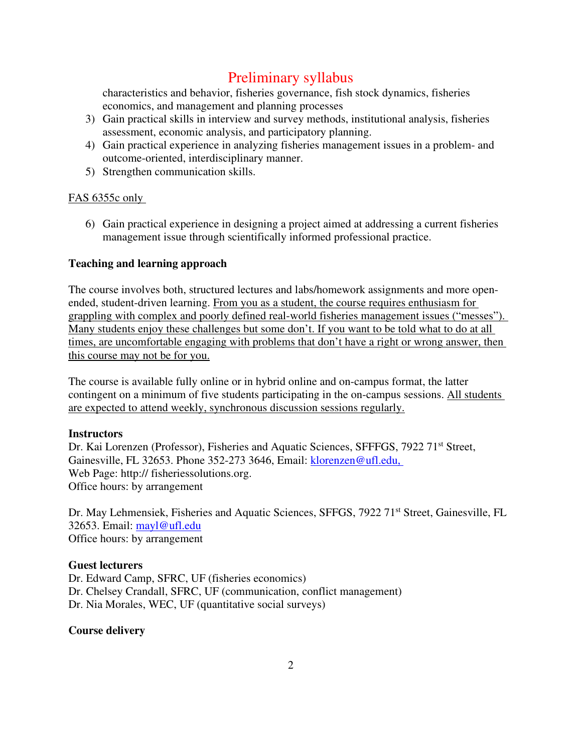characteristics and behavior, fisheries governance, fish stock dynamics, fisheries economics, and management and planning processes

- 3) Gain practical skills in interview and survey methods, institutional analysis, fisheries assessment, economic analysis, and participatory planning.
- 4) Gain practical experience in analyzing fisheries management issues in a problem- and outcome-oriented, interdisciplinary manner.
- 5) Strengthen communication skills.

### FAS 6355c only

6) Gain practical experience in designing a project aimed at addressing a current fisheries management issue through scientifically informed professional practice.

### **Teaching and learning approach**

The course involves both, structured lectures and labs/homework assignments and more openended, student-driven learning. From you as a student, the course requires enthusiasm for grappling with complex and poorly defined real-world fisheries management issues ("messes"). Many students enjoy these challenges but some don't. If you want to be told what to do at all times, are uncomfortable engaging with problems that don't have a right or wrong answer, then this course may not be for you.

The course is available fully online or in hybrid online and on-campus format, the latter contingent on a minimum of five students participating in the on-campus sessions. All students are expected to attend weekly, synchronous discussion sessions regularly.

#### **Instructors**

Dr. Kai Lorenzen (Professor), Fisheries and Aquatic Sciences, SFFFGS, 7922 71<sup>st</sup> Street, Gainesville, FL 32653. Phone 352-273 3646, Email: klorenzen@ufl.edu, Web Page: http:// fisheriessolutions.org. Office hours: by arrangement

Dr. May Lehmensiek, Fisheries and Aquatic Sciences, SFFGS, 7922 71<sup>st</sup> Street, Gainesville, FL 32653. Email: mayl@ufl.edu Office hours: by arrangement

#### **Guest lecturers**

Dr. Edward Camp, SFRC, UF (fisheries economics) Dr. Chelsey Crandall, SFRC, UF (communication, conflict management) Dr. Nia Morales, WEC, UF (quantitative social surveys)

#### **Course delivery**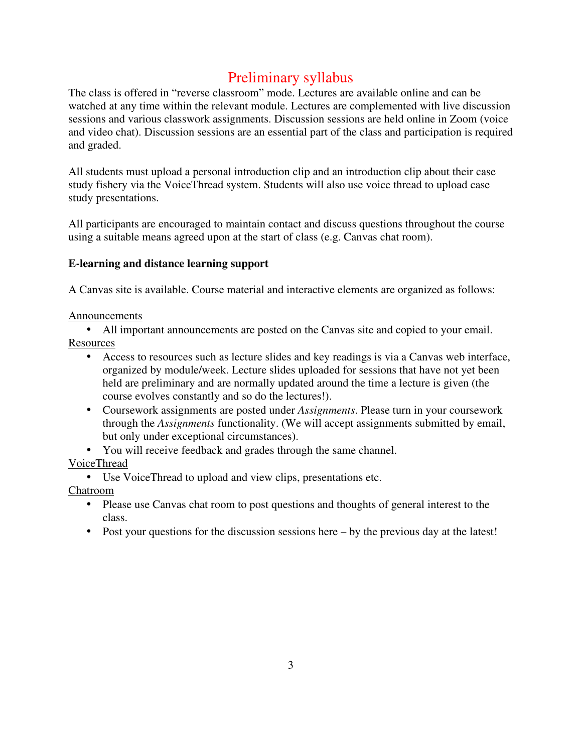The class is offered in "reverse classroom" mode. Lectures are available online and can be watched at any time within the relevant module. Lectures are complemented with live discussion sessions and various classwork assignments. Discussion sessions are held online in Zoom (voice and video chat). Discussion sessions are an essential part of the class and participation is required and graded.

All students must upload a personal introduction clip and an introduction clip about their case study fishery via the VoiceThread system. Students will also use voice thread to upload case study presentations.

All participants are encouraged to maintain contact and discuss questions throughout the course using a suitable means agreed upon at the start of class (e.g. Canvas chat room).

### **E-learning and distance learning support**

A Canvas site is available. Course material and interactive elements are organized as follows:

#### Announcements

• All important announcements are posted on the Canvas site and copied to your email. Resources

- Access to resources such as lecture slides and key readings is via a Canvas web interface, organized by module/week. Lecture slides uploaded for sessions that have not yet been held are preliminary and are normally updated around the time a lecture is given (the course evolves constantly and so do the lectures!).
- Coursework assignments are posted under *Assignments*. Please turn in your coursework through the *Assignments* functionality. (We will accept assignments submitted by email, but only under exceptional circumstances).
- You will receive feedback and grades through the same channel.

### VoiceThread

• Use VoiceThread to upload and view clips, presentations etc.

Chatroom

- Please use Canvas chat room to post questions and thoughts of general interest to the class.
- Post your questions for the discussion sessions here by the previous day at the latest!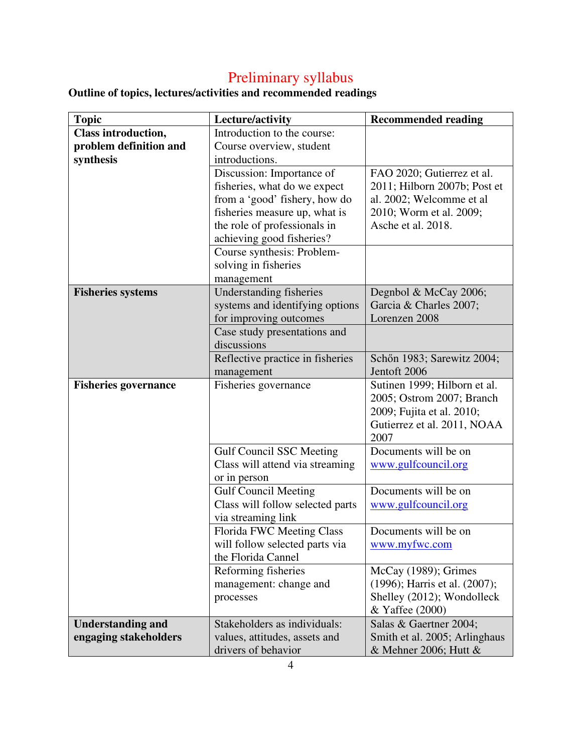**Outline of topics, lectures/activities and recommended readings** 

| <b>Topic</b>                | Lecture/activity                                                   | <b>Recommended reading</b>    |
|-----------------------------|--------------------------------------------------------------------|-------------------------------|
| <b>Class introduction,</b>  | Introduction to the course:                                        |                               |
| problem definition and      | Course overview, student                                           |                               |
| synthesis                   | introductions.                                                     |                               |
|                             | Discussion: Importance of                                          | FAO 2020; Gutierrez et al.    |
|                             | fisheries, what do we expect                                       | 2011; Hilborn 2007b; Post et  |
|                             | from a 'good' fishery, how do                                      | al. 2002; Welcomme et al      |
|                             | fisheries measure up, what is                                      | 2010; Worm et al. 2009;       |
|                             | the role of professionals in                                       | Asche et al. 2018.            |
|                             | achieving good fisheries?                                          |                               |
|                             | Course synthesis: Problem-                                         |                               |
|                             | solving in fisheries                                               |                               |
|                             | management                                                         |                               |
| <b>Fisheries systems</b>    | Understanding fisheries                                            | Degnbol & McCay 2006;         |
|                             | systems and identifying options                                    | Garcia & Charles 2007;        |
|                             | for improving outcomes                                             | Lorenzen 2008                 |
|                             | Case study presentations and                                       |                               |
|                             | discussions                                                        |                               |
|                             | Reflective practice in fisheries                                   | Schön 1983; Sarewitz 2004;    |
|                             | management                                                         | Jentoft 2006                  |
| <b>Fisheries governance</b> | Fisheries governance                                               | Sutinen 1999; Hilborn et al.  |
|                             |                                                                    | 2005; Ostrom 2007; Branch     |
|                             |                                                                    | 2009; Fujita et al. 2010;     |
|                             |                                                                    | Gutierrez et al. 2011, NOAA   |
|                             |                                                                    | 2007<br>Documents will be on  |
|                             | <b>Gulf Council SSC Meeting</b><br>Class will attend via streaming |                               |
|                             | or in person                                                       | www.gulfcouncil.org           |
|                             | <b>Gulf Council Meeting</b>                                        | Documents will be on          |
|                             | Class will follow selected parts                                   | www.gulfcouncil.org           |
|                             | via streaming link                                                 |                               |
|                             | Florida FWC Meeting Class                                          | Documents will be on          |
|                             | will follow selected parts via                                     | www.myfwc.com                 |
|                             | the Florida Cannel                                                 |                               |
|                             | Reforming fisheries                                                | McCay (1989); Grimes          |
|                             | management: change and                                             | (1996); Harris et al. (2007); |
|                             | processes                                                          | Shelley (2012); Wondolleck    |
|                             |                                                                    | & Yaffee (2000)               |
| <b>Understanding and</b>    | Stakeholders as individuals:                                       | Salas & Gaertner 2004;        |
| engaging stakeholders       | values, attitudes, assets and                                      | Smith et al. 2005; Arlinghaus |
|                             | drivers of behavior                                                | & Mehner 2006; Hutt $&$       |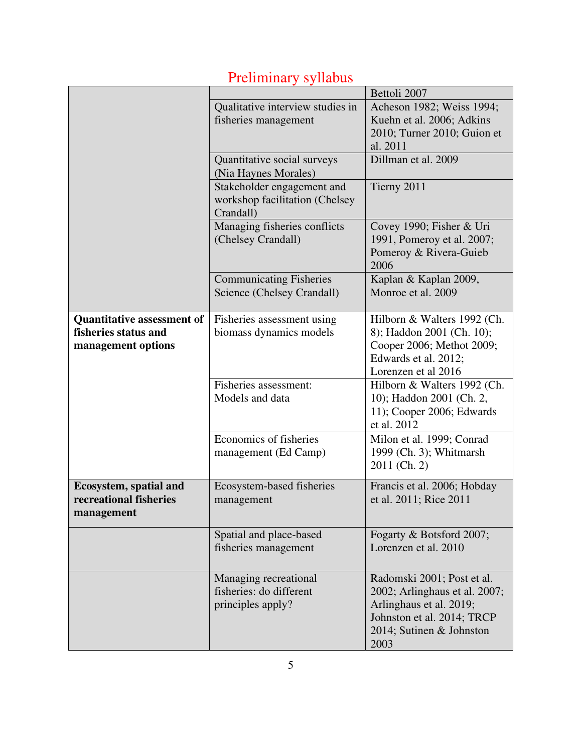|                                                                                 | Qualitative interview studies in<br>fisheries management                  | Bettoli 2007<br>Acheson 1982; Weiss 1994;<br>Kuehn et al. 2006; Adkins<br>2010; Turner 2010; Guion et<br>al. 2011                                        |
|---------------------------------------------------------------------------------|---------------------------------------------------------------------------|----------------------------------------------------------------------------------------------------------------------------------------------------------|
|                                                                                 | Quantitative social surveys<br>(Nia Haynes Morales)                       | Dillman et al. 2009                                                                                                                                      |
|                                                                                 | Stakeholder engagement and<br>workshop facilitation (Chelsey<br>Crandall) | Tierny 2011                                                                                                                                              |
|                                                                                 | Managing fisheries conflicts<br>(Chelsey Crandall)                        | Covey 1990; Fisher & Uri<br>1991, Pomeroy et al. 2007;<br>Pomeroy & Rivera-Guieb<br>2006                                                                 |
|                                                                                 | <b>Communicating Fisheries</b><br>Science (Chelsey Crandall)              | Kaplan & Kaplan 2009,<br>Monroe et al. 2009                                                                                                              |
| <b>Quantitative assessment of</b><br>fisheries status and<br>management options | Fisheries assessment using<br>biomass dynamics models                     | Hilborn & Walters 1992 (Ch.<br>8); Haddon 2001 (Ch. 10);<br>Cooper 2006; Methot 2009;<br>Edwards et al. 2012;<br>Lorenzen et al 2016                     |
|                                                                                 | Fisheries assessment:<br>Models and data                                  | Hilborn & Walters 1992 (Ch.<br>10); Haddon 2001 (Ch. 2,<br>11); Cooper 2006; Edwards<br>et al. 2012                                                      |
|                                                                                 | Economics of fisheries<br>management (Ed Camp)                            | Milon et al. 1999; Conrad<br>1999 (Ch. 3); Whitmarsh<br>2011 (Ch. 2)                                                                                     |
| <b>Ecosystem, spatial and</b><br>recreational fisheries<br>management           | Ecosystem-based fisheries<br>management                                   | Francis et al. 2006; Hobday<br>et al. 2011; Rice 2011                                                                                                    |
|                                                                                 | Spatial and place-based<br>fisheries management                           | Fogarty & Botsford 2007;<br>Lorenzen et al. 2010                                                                                                         |
|                                                                                 | Managing recreational<br>fisheries: do different<br>principles apply?     | Radomski 2001; Post et al.<br>2002; Arlinghaus et al. 2007;<br>Arlinghaus et al. 2019;<br>Johnston et al. 2014; TRCP<br>2014; Sutinen & Johnston<br>2003 |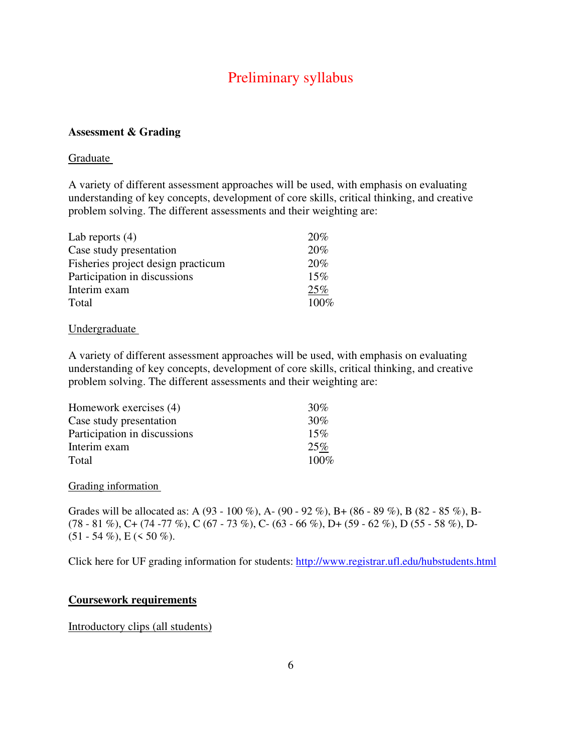### **Assessment & Grading**

#### Graduate

A variety of different assessment approaches will be used, with emphasis on evaluating understanding of key concepts, development of core skills, critical thinking, and creative problem solving. The different assessments and their weighting are:

| Lab reports $(4)$                  | 20%  |
|------------------------------------|------|
| Case study presentation            | 20%  |
| Fisheries project design practicum | 20%  |
| Participation in discussions       | 15%  |
| Interim exam                       | 25%  |
| Total                              | 100% |

#### Undergraduate

A variety of different assessment approaches will be used, with emphasis on evaluating understanding of key concepts, development of core skills, critical thinking, and creative problem solving. The different assessments and their weighting are:

| Homework exercises (4)       | 30%     |
|------------------------------|---------|
| Case study presentation      | 30%     |
| Participation in discussions | 15%     |
| Interim exam                 | 25%     |
| Total                        | $100\%$ |

#### Grading information

Grades will be allocated as: A (93 - 100 %), A- (90 - 92 %), B+ (86 - 89 %), B (82 - 85 %), B- $(78 - 81 \%)$ , C+  $(74 - 77 \%)$ , C  $(67 - 73 \%)$ , C-  $(63 - 66 \%)$ , D+  $(59 - 62 \%)$ , D  $(55 - 58 \%)$ , D- $(51 - 54\%)$ , E (< 50 %).

Click here for UF grading information for students: http://www.registrar.ufl.edu/hubstudents.html

#### **Coursework requirements**

Introductory clips (all students)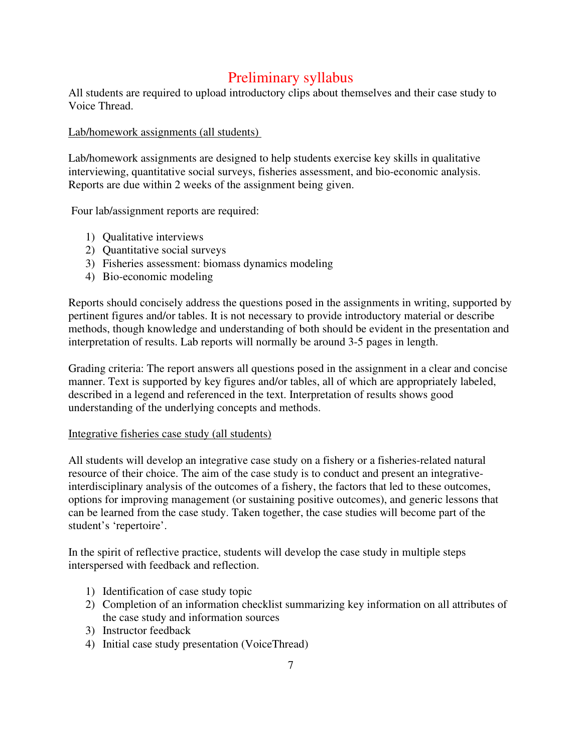All students are required to upload introductory clips about themselves and their case study to Voice Thread.

Lab/homework assignments (all students)

Lab/homework assignments are designed to help students exercise key skills in qualitative interviewing, quantitative social surveys, fisheries assessment, and bio-economic analysis. Reports are due within 2 weeks of the assignment being given.

Four lab/assignment reports are required:

- 1) Qualitative interviews
- 2) Quantitative social surveys
- 3) Fisheries assessment: biomass dynamics modeling
- 4) Bio-economic modeling

Reports should concisely address the questions posed in the assignments in writing, supported by pertinent figures and/or tables. It is not necessary to provide introductory material or describe methods, though knowledge and understanding of both should be evident in the presentation and interpretation of results. Lab reports will normally be around 3-5 pages in length.

Grading criteria: The report answers all questions posed in the assignment in a clear and concise manner. Text is supported by key figures and/or tables, all of which are appropriately labeled, described in a legend and referenced in the text. Interpretation of results shows good understanding of the underlying concepts and methods.

#### Integrative fisheries case study (all students)

All students will develop an integrative case study on a fishery or a fisheries-related natural resource of their choice. The aim of the case study is to conduct and present an integrativeinterdisciplinary analysis of the outcomes of a fishery, the factors that led to these outcomes, options for improving management (or sustaining positive outcomes), and generic lessons that can be learned from the case study. Taken together, the case studies will become part of the student's 'repertoire'.

In the spirit of reflective practice, students will develop the case study in multiple steps interspersed with feedback and reflection.

- 1) Identification of case study topic
- 2) Completion of an information checklist summarizing key information on all attributes of the case study and information sources
- 3) Instructor feedback
- 4) Initial case study presentation (VoiceThread)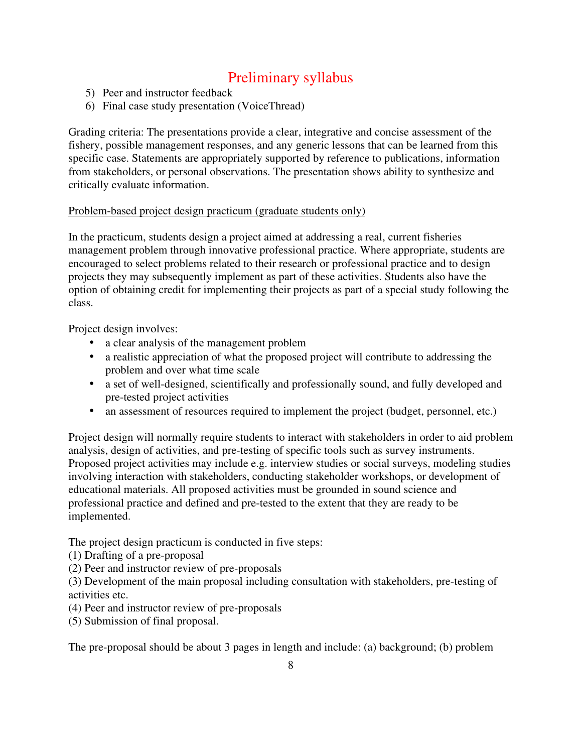- 5) Peer and instructor feedback
- 6) Final case study presentation (VoiceThread)

Grading criteria: The presentations provide a clear, integrative and concise assessment of the fishery, possible management responses, and any generic lessons that can be learned from this specific case. Statements are appropriately supported by reference to publications, information from stakeholders, or personal observations. The presentation shows ability to synthesize and critically evaluate information.

#### Problem-based project design practicum (graduate students only)

In the practicum, students design a project aimed at addressing a real, current fisheries management problem through innovative professional practice. Where appropriate, students are encouraged to select problems related to their research or professional practice and to design projects they may subsequently implement as part of these activities. Students also have the option of obtaining credit for implementing their projects as part of a special study following the class.

Project design involves:

- a clear analysis of the management problem
- a realistic appreciation of what the proposed project will contribute to addressing the problem and over what time scale
- a set of well-designed, scientifically and professionally sound, and fully developed and pre-tested project activities
- an assessment of resources required to implement the project (budget, personnel, etc.)

Project design will normally require students to interact with stakeholders in order to aid problem analysis, design of activities, and pre-testing of specific tools such as survey instruments. Proposed project activities may include e.g. interview studies or social surveys, modeling studies involving interaction with stakeholders, conducting stakeholder workshops, or development of educational materials. All proposed activities must be grounded in sound science and professional practice and defined and pre-tested to the extent that they are ready to be implemented.

The project design practicum is conducted in five steps:

- (1) Drafting of a pre-proposal
- (2) Peer and instructor review of pre-proposals

(3) Development of the main proposal including consultation with stakeholders, pre-testing of activities etc.

- (4) Peer and instructor review of pre-proposals
- (5) Submission of final proposal.

The pre-proposal should be about 3 pages in length and include: (a) background; (b) problem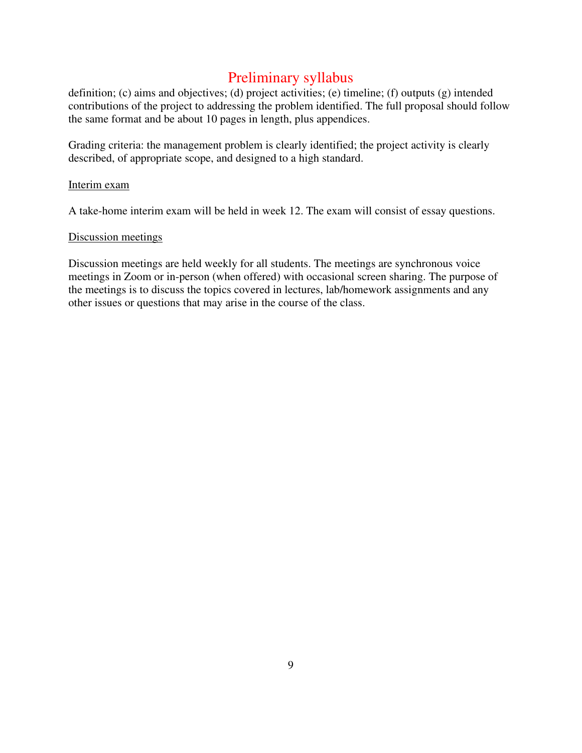definition; (c) aims and objectives; (d) project activities; (e) timeline; (f) outputs (g) intended contributions of the project to addressing the problem identified. The full proposal should follow the same format and be about 10 pages in length, plus appendices.

Grading criteria: the management problem is clearly identified; the project activity is clearly described, of appropriate scope, and designed to a high standard.

#### Interim exam

A take-home interim exam will be held in week 12. The exam will consist of essay questions.

#### Discussion meetings

Discussion meetings are held weekly for all students. The meetings are synchronous voice meetings in Zoom or in-person (when offered) with occasional screen sharing. The purpose of the meetings is to discuss the topics covered in lectures, lab/homework assignments and any other issues or questions that may arise in the course of the class.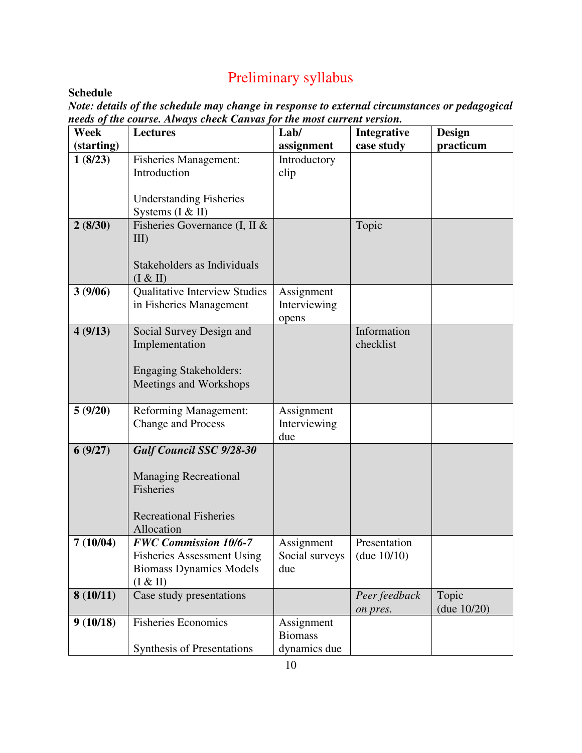## **Schedule**

*Note: details of the schedule may change in response to external circumstances or pedagogical needs of the course. Always check Canvas for the most current version.* 

| Week       | <b>Lectures</b>                                                                                                             | Lab/                                         | Integrative                    | <b>Design</b>           |
|------------|-----------------------------------------------------------------------------------------------------------------------------|----------------------------------------------|--------------------------------|-------------------------|
| (starting) |                                                                                                                             | assignment                                   | case study                     | practicum               |
| 1(8/23)    | <b>Fisheries Management:</b><br>Introduction<br><b>Understanding Fisheries</b>                                              | Introductory<br>clip                         |                                |                         |
|            | Systems $(I & H)$                                                                                                           |                                              |                                |                         |
| 2(8/30)    | Fisheries Governance (I, II &<br>$III$ )<br>Stakeholders as Individuals<br>(I & H)                                          |                                              | Topic                          |                         |
| 3(9/06)    | <b>Qualitative Interview Studies</b><br>in Fisheries Management                                                             | Assignment<br>Interviewing<br>opens          |                                |                         |
| 4(9/13)    | Social Survey Design and<br>Implementation<br><b>Engaging Stakeholders:</b><br>Meetings and Workshops                       |                                              | Information<br>checklist       |                         |
| 5(9/20)    | <b>Reforming Management:</b><br><b>Change and Process</b>                                                                   | Assignment<br>Interviewing<br>due            |                                |                         |
| 6(9/27)    | <b>Gulf Council SSC 9/28-30</b><br><b>Managing Recreational</b><br>Fisheries<br><b>Recreational Fisheries</b><br>Allocation |                                              |                                |                         |
| 7(10/04)   | <b>FWC Commission 10/6-7</b><br><b>Fisheries Assessment Using</b><br><b>Biomass Dynamics Models</b><br>(I & H)              | Assignment<br>Social surveys<br>due          | Presentation<br>(due $10/10$ ) |                         |
| 8(10/11)   | Case study presentations                                                                                                    |                                              | Peer feedback<br>on pres.      | Topic<br>(due $10/20$ ) |
| 9(10/18)   | <b>Fisheries Economics</b><br><b>Synthesis of Presentations</b>                                                             | Assignment<br><b>Biomass</b><br>dynamics due |                                |                         |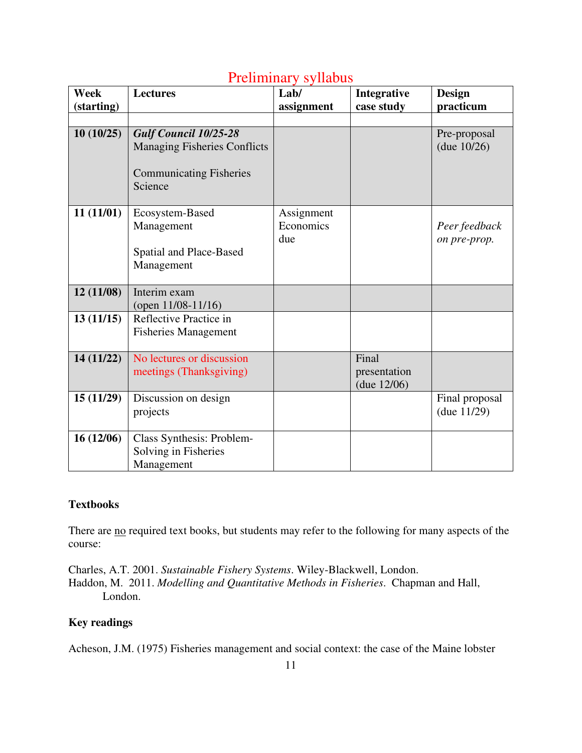| <b>Week</b> | <b>Lectures</b>                     | 1 IVIIIIIIIIII y byfiadas<br>Lab/ |              | <b>Design</b>  |
|-------------|-------------------------------------|-----------------------------------|--------------|----------------|
|             |                                     |                                   | Integrative  |                |
| (starting)  |                                     | assignment                        | case study   | practicum      |
|             |                                     |                                   |              |                |
| 10(10/25)   | <b>Gulf Council 10/25-28</b>        |                                   |              | Pre-proposal   |
|             | <b>Managing Fisheries Conflicts</b> |                                   |              | (due $10/26$ ) |
|             |                                     |                                   |              |                |
|             | <b>Communicating Fisheries</b>      |                                   |              |                |
|             | Science                             |                                   |              |                |
|             |                                     |                                   |              |                |
| 11(11/01)   | Ecosystem-Based                     | Assignment                        |              |                |
|             | Management                          | Economics                         |              | Peer feedback  |
|             |                                     | due                               |              | on pre-prop.   |
|             | Spatial and Place-Based             |                                   |              |                |
|             |                                     |                                   |              |                |
|             | Management                          |                                   |              |                |
|             |                                     |                                   |              |                |
| 12(11/08)   | Interim exam                        |                                   |              |                |
|             | (open $11/08 - 11/16$ )             |                                   |              |                |
| 13(11/15)   | Reflective Practice in              |                                   |              |                |
|             | <b>Fisheries Management</b>         |                                   |              |                |
|             |                                     |                                   |              |                |
| 14 (11/22)  | No lectures or discussion           |                                   | Final        |                |
|             | meetings (Thanksgiving)             |                                   | presentation |                |
|             |                                     |                                   | (due 12/06)  |                |
| 15(11/29)   | Discussion on design                |                                   |              | Final proposal |
|             | projects                            |                                   |              | (due 11/29)    |
|             |                                     |                                   |              |                |
| 16(12/06)   | Class Synthesis: Problem-           |                                   |              |                |
|             | Solving in Fisheries                |                                   |              |                |
|             | Management                          |                                   |              |                |
|             |                                     |                                   |              |                |

### **Textbooks**

There are no required text books, but students may refer to the following for many aspects of the course:

Charles, A.T. 2001. *Sustainable Fishery Systems*. Wiley-Blackwell, London. Haddon, M. 2011. *Modelling and Quantitative Methods in Fisheries*. Chapman and Hall, London.

### **Key readings**

Acheson, J.M. (1975) Fisheries management and social context: the case of the Maine lobster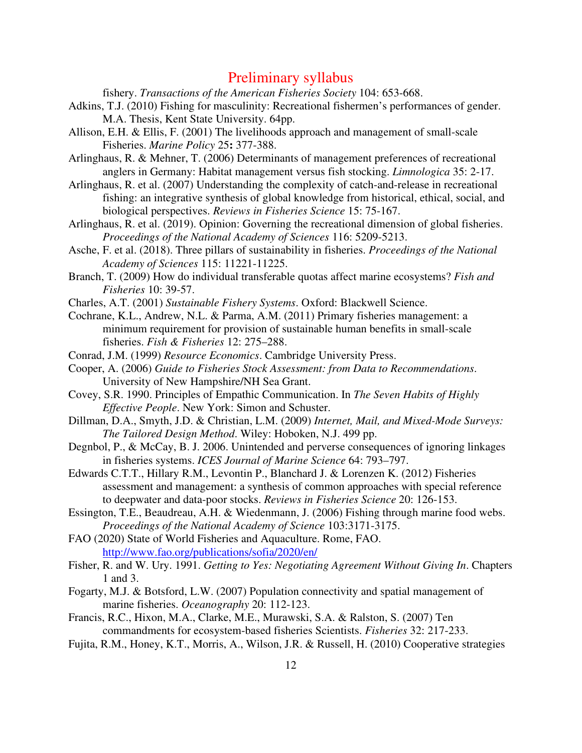fishery. *Transactions of the American Fisheries Society* 104: 653-668.

- Adkins, T.J. (2010) Fishing for masculinity: Recreational fishermen's performances of gender. M.A. Thesis, Kent State University. 64pp.
- Allison, E.H. & Ellis, F. (2001) The livelihoods approach and management of small-scale Fisheries. *Marine Policy* 25**:** 377-388.
- Arlinghaus, R. & Mehner, T. (2006) Determinants of management preferences of recreational anglers in Germany: Habitat management versus fish stocking. *Limnologica* 35: 2-17.
- Arlinghaus, R. et al. (2007) Understanding the complexity of catch-and-release in recreational fishing: an integrative synthesis of global knowledge from historical, ethical, social, and biological perspectives. *Reviews in Fisheries Science* 15: 75-167.
- Arlinghaus, R. et al. (2019). Opinion: Governing the recreational dimension of global fisheries. *Proceedings of the National Academy of Sciences* 116: 5209-5213.
- Asche, F. et al. (2018). Three pillars of sustainability in fisheries. *Proceedings of the National Academy of Sciences* 115: 11221-11225.
- Branch, T. (2009) How do individual transferable quotas affect marine ecosystems? *Fish and Fisheries* 10: 39-57.
- Charles, A.T. (2001) *Sustainable Fishery Systems*. Oxford: Blackwell Science.
- Cochrane, K.L., Andrew, N.L. & Parma, A.M. (2011) Primary fisheries management: a minimum requirement for provision of sustainable human benefits in small-scale fisheries. *Fish & Fisheries* 12: 275–288.
- Conrad, J.M. (1999) *Resource Economics*. Cambridge University Press.
- Cooper, A. (2006) *Guide to Fisheries Stock Assessment: from Data to Recommendations*. University of New Hampshire/NH Sea Grant.
- Covey, S.R. 1990. Principles of Empathic Communication. In *The Seven Habits of Highly Effective People*. New York: Simon and Schuster.
- Dillman, D.A., Smyth, J.D. & Christian, L.M. (2009) *Internet, Mail, and Mixed-Mode Surveys: The Tailored Design Method*. Wiley: Hoboken, N.J. 499 pp.
- Degnbol, P., & McCay, B. J. 2006. Unintended and perverse consequences of ignoring linkages in fisheries systems. *ICES Journal of Marine Science* 64: 793–797.
- Edwards C.T.T., Hillary R.M., Levontin P., Blanchard J. & Lorenzen K. (2012) Fisheries assessment and management: a synthesis of common approaches with special reference to deepwater and data-poor stocks. *Reviews in Fisheries Science* 20: 126-153.
- Essington, T.E., Beaudreau, A.H. & Wiedenmann, J. (2006) Fishing through marine food webs. *Proceedings of the National Academy of Science* 103:3171-3175.
- FAO (2020) State of World Fisheries and Aquaculture. Rome, FAO. http://www.fao.org/publications/sofia/2020/en/
- Fisher, R. and W. Ury. 1991. *Getting to Yes: Negotiating Agreement Without Giving In*. Chapters 1 and 3.
- Fogarty, M.J. & Botsford, L.W. (2007) Population connectivity and spatial management of marine fisheries. *Oceanography* 20: 112-123.
- Francis, R.C., Hixon, M.A., Clarke, M.E., Murawski, S.A. & Ralston, S. (2007) Ten commandments for ecosystem-based fisheries Scientists. *Fisheries* 32: 217-233.
- Fujita, R.M., Honey, K.T., Morris, A., Wilson, J.R. & Russell, H. (2010) Cooperative strategies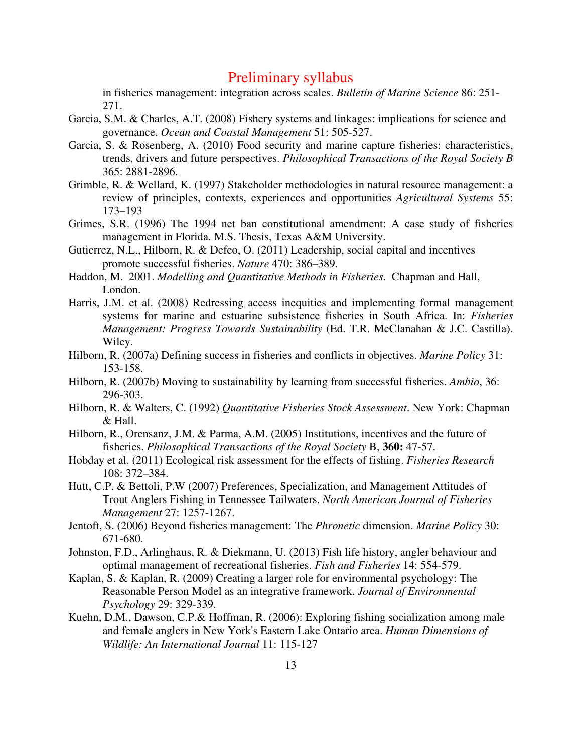in fisheries management: integration across scales. *Bulletin of Marine Science* 86: 251- 271.

- Garcia, S.M. & Charles, A.T. (2008) Fishery systems and linkages: implications for science and governance. *Ocean and Coastal Management* 51: 505-527.
- Garcia, S. & Rosenberg, A. (2010) Food security and marine capture fisheries: characteristics, trends, drivers and future perspectives. *Philosophical Transactions of the Royal Society B* 365: 2881-2896.
- Grimble, R. & Wellard, K. (1997) Stakeholder methodologies in natural resource management: a review of principles, contexts, experiences and opportunities *Agricultural Systems* 55: 173–193
- Grimes, S.R. (1996) The 1994 net ban constitutional amendment: A case study of fisheries management in Florida. M.S. Thesis, Texas A&M University.
- Gutierrez, N.L., Hilborn, R. & Defeo, O. (2011) Leadership, social capital and incentives promote successful fisheries. *Nature* 470: 386–389.
- Haddon, M. 2001. *Modelling and Quantitative Methods in Fisheries*. Chapman and Hall, London.
- Harris, J.M. et al. (2008) Redressing access inequities and implementing formal management systems for marine and estuarine subsistence fisheries in South Africa. In: *Fisheries Management: Progress Towards Sustainability* (Ed. T.R. McClanahan & J.C. Castilla). Wiley.
- Hilborn, R. (2007a) Defining success in fisheries and conflicts in objectives. *Marine Policy* 31: 153-158.
- Hilborn, R. (2007b) Moving to sustainability by learning from successful fisheries. *Ambio*, 36: 296-303.
- Hilborn, R. & Walters, C. (1992) *Quantitative Fisheries Stock Assessment*. New York: Chapman  $&$  Hall.
- Hilborn, R., Orensanz, J.M. & Parma, A.M. (2005) Institutions, incentives and the future of fisheries. *Philosophical Transactions of the Royal Society* B, **360:** 47-57.
- Hobday et al. (2011) Ecological risk assessment for the effects of fishing. *Fisheries Research* 108: 372–384.
- Hutt, C.P. & Bettoli, P.W (2007) Preferences, Specialization, and Management Attitudes of Trout Anglers Fishing in Tennessee Tailwaters. *North American Journal of Fisheries Management* 27: 1257-1267.
- Jentoft, S. (2006) Beyond fisheries management: The *Phronetic* dimension. *Marine Policy* 30: 671-680.
- Johnston, F.D., Arlinghaus, R. & Diekmann, U. (2013) Fish life history, angler behaviour and optimal management of recreational fisheries. *Fish and Fisheries* 14: 554-579.
- Kaplan, S. & Kaplan, R. (2009) Creating a larger role for environmental psychology: The Reasonable Person Model as an integrative framework. *Journal of Environmental Psychology* 29: 329-339.
- Kuehn, D.M., Dawson, C.P.& Hoffman, R. (2006): Exploring fishing socialization among male and female anglers in New York's Eastern Lake Ontario area. *Human Dimensions of Wildlife: An International Journal* 11: 115-127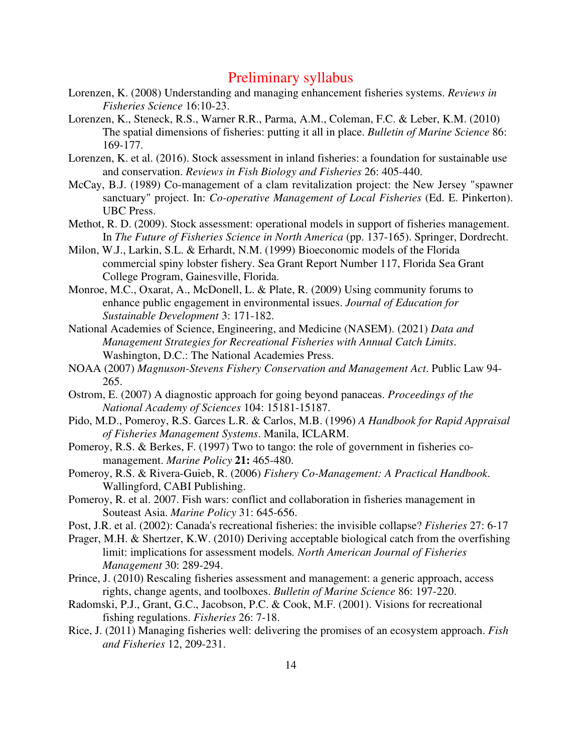- Lorenzen, K. (2008) Understanding and managing enhancement fisheries systems. *Reviews in Fisheries Science* 16:10-23.
- Lorenzen, K., Steneck, R.S., Warner R.R., Parma, A.M., Coleman, F.C. & Leber, K.M. (2010) The spatial dimensions of fisheries: putting it all in place. *Bulletin of Marine Science* 86: 169-177.
- Lorenzen, K. et al. (2016). Stock assessment in inland fisheries: a foundation for sustainable use and conservation. *Reviews in Fish Biology and Fisheries* 26: 405-440.
- McCay, B.J. (1989) Co-management of a clam revitalization project: the New Jersey "spawner sanctuary" project. In: *Co-operative Management of Local Fisheries* (Ed. E. Pinkerton). UBC Press.
- Methot, R. D. (2009). Stock assessment: operational models in support of fisheries management. In *The Future of Fisheries Science in North America* (pp. 137-165). Springer, Dordrecht.
- Milon, W.J., Larkin, S.L. & Erhardt, N.M. (1999) Bioeconomic models of the Florida commercial spiny lobster fishery. Sea Grant Report Number 117, Florida Sea Grant College Program, Gainesville, Florida.
- Monroe, M.C., Oxarat, A., McDonell, L. & Plate, R. (2009) Using community forums to enhance public engagement in environmental issues. *Journal of Education for Sustainable Development* 3: 171-182.
- National Academies of Science, Engineering, and Medicine (NASEM). (2021) *Data and Management Strategies for Recreational Fisheries with Annual Catch Limits*. Washington, D.C.: The National Academies Press.
- NOAA (2007) *Magnuson-Stevens Fishery Conservation and Management Act*. Public Law 94- 265.
- Ostrom, E. (2007) A diagnostic approach for going beyond panaceas. *Proceedings of the National Academy of Sciences* 104: 15181-15187.
- Pido, M.D., Pomeroy, R.S. Garces L.R. & Carlos, M.B. (1996) *A Handbook for Rapid Appraisal of Fisheries Management Systems*. Manila, ICLARM.
- Pomeroy, R.S. & Berkes, F. (1997) Two to tango: the role of government in fisheries comanagement. *Marine Policy* **21:** 465-480.
- Pomeroy, R.S. & Rivera-Guieb, R. (2006) *Fishery Co-Management: A Practical Handbook*. Wallingford, CABI Publishing.
- Pomeroy, R. et al. 2007. Fish wars: conflict and collaboration in fisheries management in Souteast Asia. *Marine Policy* 31: 645-656.
- Post, J.R. et al. (2002): Canada's recreational fisheries: the invisible collapse? *Fisheries* 27: 6-17
- Prager, M.H. & Shertzer, K.W. (2010) Deriving acceptable biological catch from the overfishing limit: implications for assessment models*. North American Journal of Fisheries Management* 30: 289-294.
- Prince, J. (2010) Rescaling fisheries assessment and management: a generic approach, access rights, change agents, and toolboxes. *Bulletin of Marine Science* 86: 197-220.
- Radomski, P.J., Grant, G.C., Jacobson, P.C. & Cook, M.F. (2001). Visions for recreational fishing regulations. *Fisheries* 26: 7-18.
- Rice, J. (2011) Managing fisheries well: delivering the promises of an ecosystem approach. *Fish and Fisheries* 12, 209-231.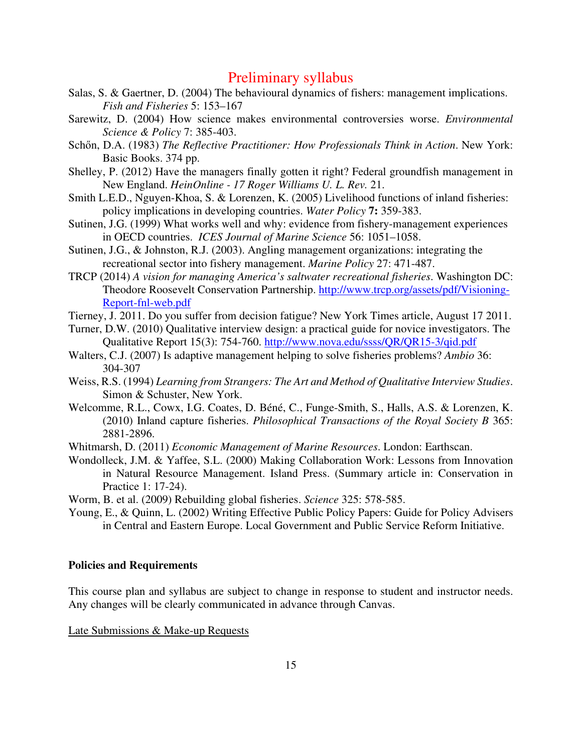- Salas, S. & Gaertner, D. (2004) The behavioural dynamics of fishers: management implications. *Fish and Fisheries* 5: 153–167
- Sarewitz, D. (2004) How science makes environmental controversies worse. *Environmental Science & Policy* 7: 385-403.
- Schőn, D.A. (1983) *The Reflective Practitioner: How Professionals Think in Action*. New York: Basic Books. 374 pp.
- Shelley, P. (2012) Have the managers finally gotten it right? Federal groundfish management in New England. *HeinOnline - 17 Roger Williams U. L. Rev.* 21.
- Smith L.E.D., Nguyen-Khoa, S. & Lorenzen, K. (2005) Livelihood functions of inland fisheries: policy implications in developing countries. *Water Policy* **7:** 359-383.
- Sutinen, J.G. (1999) What works well and why: evidence from fishery-management experiences in OECD countries. *ICES Journal of Marine Science* 56: 1051–1058.
- Sutinen, J.G., & Johnston, R.J. (2003). Angling management organizations: integrating the recreational sector into fishery management. *Marine Policy* 27: 471-487.
- TRCP (2014) *A vision for managing America's saltwater recreational fisheries*. Washington DC: Theodore Roosevelt Conservation Partnership. http://www.trcp.org/assets/pdf/Visioning-Report-fnl-web.pdf
- Tierney, J. 2011. Do you suffer from decision fatigue? New York Times article, August 17 2011.
- Turner, D.W. (2010) Qualitative interview design: a practical guide for novice investigators. The Qualitative Report 15(3): 754-760. http://www.nova.edu/ssss/QR/QR15-3/qid.pdf
- Walters, C.J. (2007) Is adaptive management helping to solve fisheries problems? *Ambio* 36: 304-307
- Weiss, R.S. (1994) *Learning from Strangers: The Art and Method of Qualitative Interview Studies*. Simon & Schuster, New York.
- Welcomme, R.L., Cowx, I.G. Coates, D. Béné, C., Funge-Smith, S., Halls, A.S. & Lorenzen, K. (2010) Inland capture fisheries. *Philosophical Transactions of the Royal Society B* 365: 2881-2896.
- Whitmarsh, D. (2011) *Economic Management of Marine Resources*. London: Earthscan.
- Wondolleck, J.M. & Yaffee, S.L. (2000) Making Collaboration Work: Lessons from Innovation in Natural Resource Management. Island Press. (Summary article in: Conservation in Practice 1: 17-24).
- Worm, B. et al. (2009) Rebuilding global fisheries. *Science* 325: 578-585.
- Young, E., & Quinn, L. (2002) Writing Effective Public Policy Papers: Guide for Policy Advisers in Central and Eastern Europe. Local Government and Public Service Reform Initiative.

#### **Policies and Requirements**

This course plan and syllabus are subject to change in response to student and instructor needs. Any changes will be clearly communicated in advance through Canvas.

Late Submissions & Make-up Requests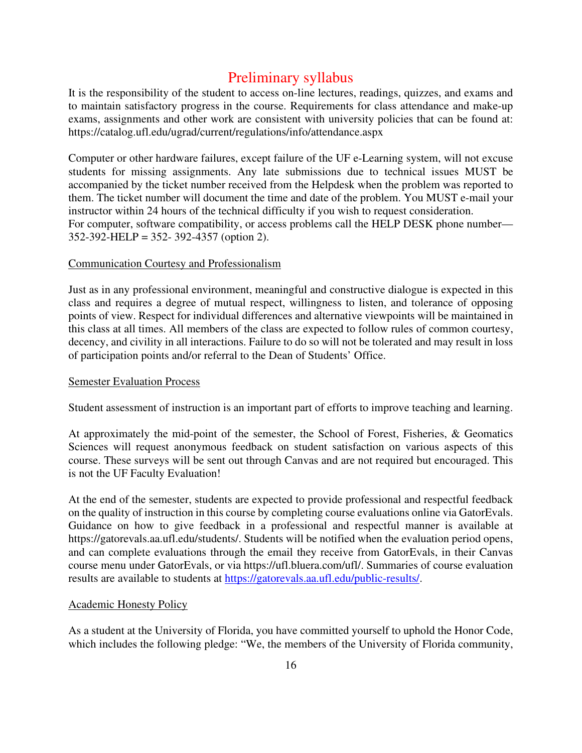It is the responsibility of the student to access on-line lectures, readings, quizzes, and exams and to maintain satisfactory progress in the course. Requirements for class attendance and make-up exams, assignments and other work are consistent with university policies that can be found at: https://catalog.ufl.edu/ugrad/current/regulations/info/attendance.aspx

Computer or other hardware failures, except failure of the UF e-Learning system, will not excuse students for missing assignments. Any late submissions due to technical issues MUST be accompanied by the ticket number received from the Helpdesk when the problem was reported to them. The ticket number will document the time and date of the problem. You MUST e-mail your instructor within 24 hours of the technical difficulty if you wish to request consideration. For computer, software compatibility, or access problems call the HELP DESK phone number— 352-392-HELP = 352- 392-4357 (option 2).

#### Communication Courtesy and Professionalism

Just as in any professional environment, meaningful and constructive dialogue is expected in this class and requires a degree of mutual respect, willingness to listen, and tolerance of opposing points of view. Respect for individual differences and alternative viewpoints will be maintained in this class at all times. All members of the class are expected to follow rules of common courtesy, decency, and civility in all interactions. Failure to do so will not be tolerated and may result in loss of participation points and/or referral to the Dean of Students' Office.

#### Semester Evaluation Process

Student assessment of instruction is an important part of efforts to improve teaching and learning.

At approximately the mid-point of the semester, the School of Forest, Fisheries, & Geomatics Sciences will request anonymous feedback on student satisfaction on various aspects of this course. These surveys will be sent out through Canvas and are not required but encouraged. This is not the UF Faculty Evaluation!

At the end of the semester, students are expected to provide professional and respectful feedback on the quality of instruction in this course by completing course evaluations online via GatorEvals. Guidance on how to give feedback in a professional and respectful manner is available at https://gatorevals.aa.ufl.edu/students/. Students will be notified when the evaluation period opens, and can complete evaluations through the email they receive from GatorEvals, in their Canvas course menu under GatorEvals, or via https://ufl.bluera.com/ufl/. Summaries of course evaluation results are available to students at https://gatorevals.aa.ufl.edu/public-results/.

#### Academic Honesty Policy

As a student at the University of Florida, you have committed yourself to uphold the Honor Code, which includes the following pledge: "We, the members of the University of Florida community,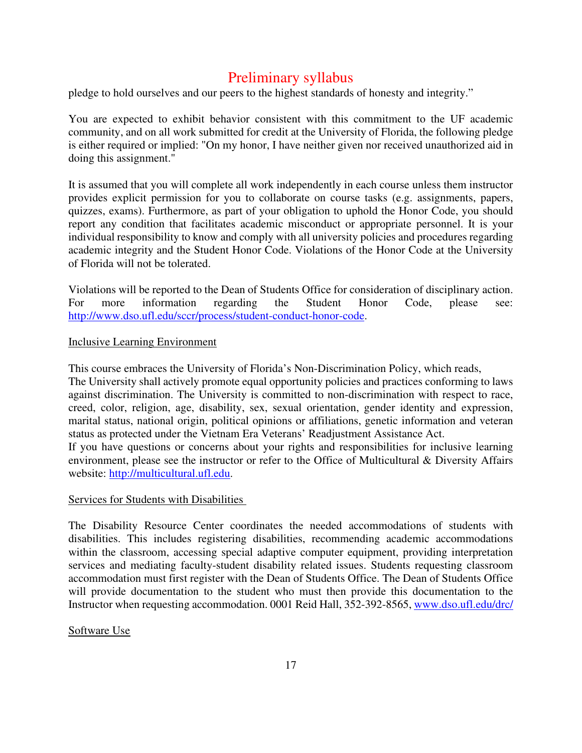pledge to hold ourselves and our peers to the highest standards of honesty and integrity."

You are expected to exhibit behavior consistent with this commitment to the UF academic community, and on all work submitted for credit at the University of Florida, the following pledge is either required or implied: "On my honor, I have neither given nor received unauthorized aid in doing this assignment."

It is assumed that you will complete all work independently in each course unless them instructor provides explicit permission for you to collaborate on course tasks (e.g. assignments, papers, quizzes, exams). Furthermore, as part of your obligation to uphold the Honor Code, you should report any condition that facilitates academic misconduct or appropriate personnel. It is your individual responsibility to know and comply with all university policies and procedures regarding academic integrity and the Student Honor Code. Violations of the Honor Code at the University of Florida will not be tolerated.

Violations will be reported to the Dean of Students Office for consideration of disciplinary action. For more information regarding the Student Honor Code, please see: http://www.dso.ufl.edu/sccr/process/student-conduct-honor-code.

#### Inclusive Learning Environment

This course embraces the University of Florida's Non-Discrimination Policy, which reads,

The University shall actively promote equal opportunity policies and practices conforming to laws against discrimination. The University is committed to non-discrimination with respect to race, creed, color, religion, age, disability, sex, sexual orientation, gender identity and expression, marital status, national origin, political opinions or affiliations, genetic information and veteran status as protected under the Vietnam Era Veterans' Readjustment Assistance Act.

If you have questions or concerns about your rights and responsibilities for inclusive learning environment, please see the instructor or refer to the Office of Multicultural & Diversity Affairs website: http://multicultural.ufl.edu.

#### Services for Students with Disabilities

The Disability Resource Center coordinates the needed accommodations of students with disabilities. This includes registering disabilities, recommending academic accommodations within the classroom, accessing special adaptive computer equipment, providing interpretation services and mediating faculty-student disability related issues. Students requesting classroom accommodation must first register with the Dean of Students Office. The Dean of Students Office will provide documentation to the student who must then provide this documentation to the Instructor when requesting accommodation. 0001 Reid Hall, 352-392-8565, www.dso.ufl.edu/drc/

#### Software Use